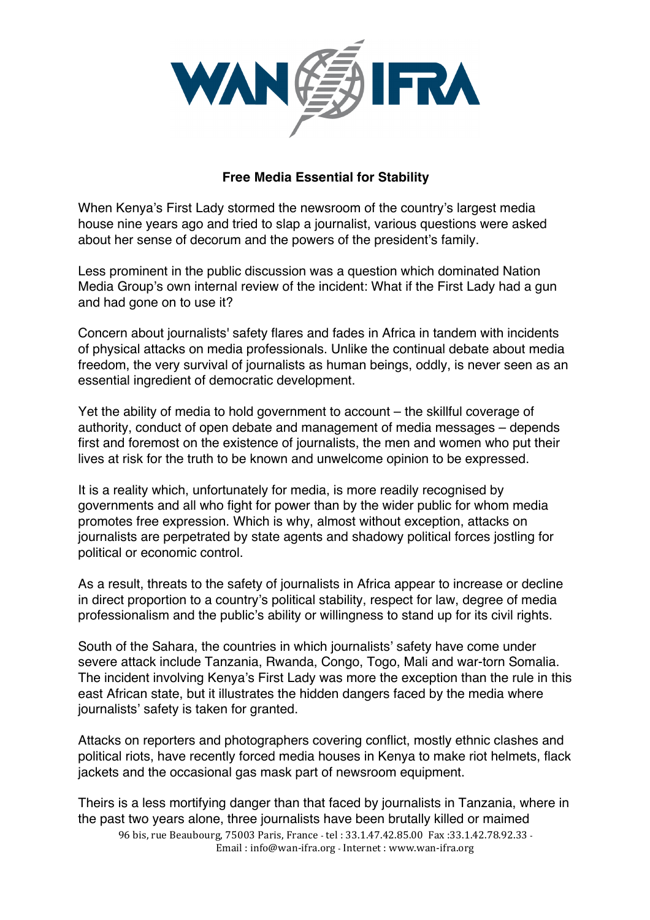

## **Free Media Essential for Stability**

When Kenya's First Lady stormed the newsroom of the country's largest media house nine years ago and tried to slap a journalist, various questions were asked about her sense of decorum and the powers of the president's family.

Less prominent in the public discussion was a question which dominated Nation Media Group's own internal review of the incident: What if the First Lady had a gun and had gone on to use it?

Concern about journalists' safety flares and fades in Africa in tandem with incidents of physical attacks on media professionals. Unlike the continual debate about media freedom, the very survival of journalists as human beings, oddly, is never seen as an essential ingredient of democratic development.

Yet the ability of media to hold government to account – the skillful coverage of authority, conduct of open debate and management of media messages – depends first and foremost on the existence of journalists, the men and women who put their lives at risk for the truth to be known and unwelcome opinion to be expressed.

It is a reality which, unfortunately for media, is more readily recognised by governments and all who fight for power than by the wider public for whom media promotes free expression. Which is why, almost without exception, attacks on journalists are perpetrated by state agents and shadowy political forces jostling for political or economic control.

As a result, threats to the safety of journalists in Africa appear to increase or decline in direct proportion to a country's political stability, respect for law, degree of media professionalism and the public's ability or willingness to stand up for its civil rights.

South of the Sahara, the countries in which journalists' safety have come under severe attack include Tanzania, Rwanda, Congo, Togo, Mali and war-torn Somalia. The incident involving Kenya's First Lady was more the exception than the rule in this east African state, but it illustrates the hidden dangers faced by the media where journalists' safety is taken for granted.

Attacks on reporters and photographers covering conflict, mostly ethnic clashes and political riots, have recently forced media houses in Kenya to make riot helmets, flack jackets and the occasional gas mask part of newsroom equipment.

96 bis, rue Beaubourg, 75003 Paris, France - tel : 33.1.47.42.85.00 Fax :33.1.42.78.92.33 -Theirs is a less mortifying danger than that faced by journalists in Tanzania, where in the past two years alone, three journalists have been brutally killed or maimed

Email: info@wan-ifra.org - Internet: www.wan-ifra.org